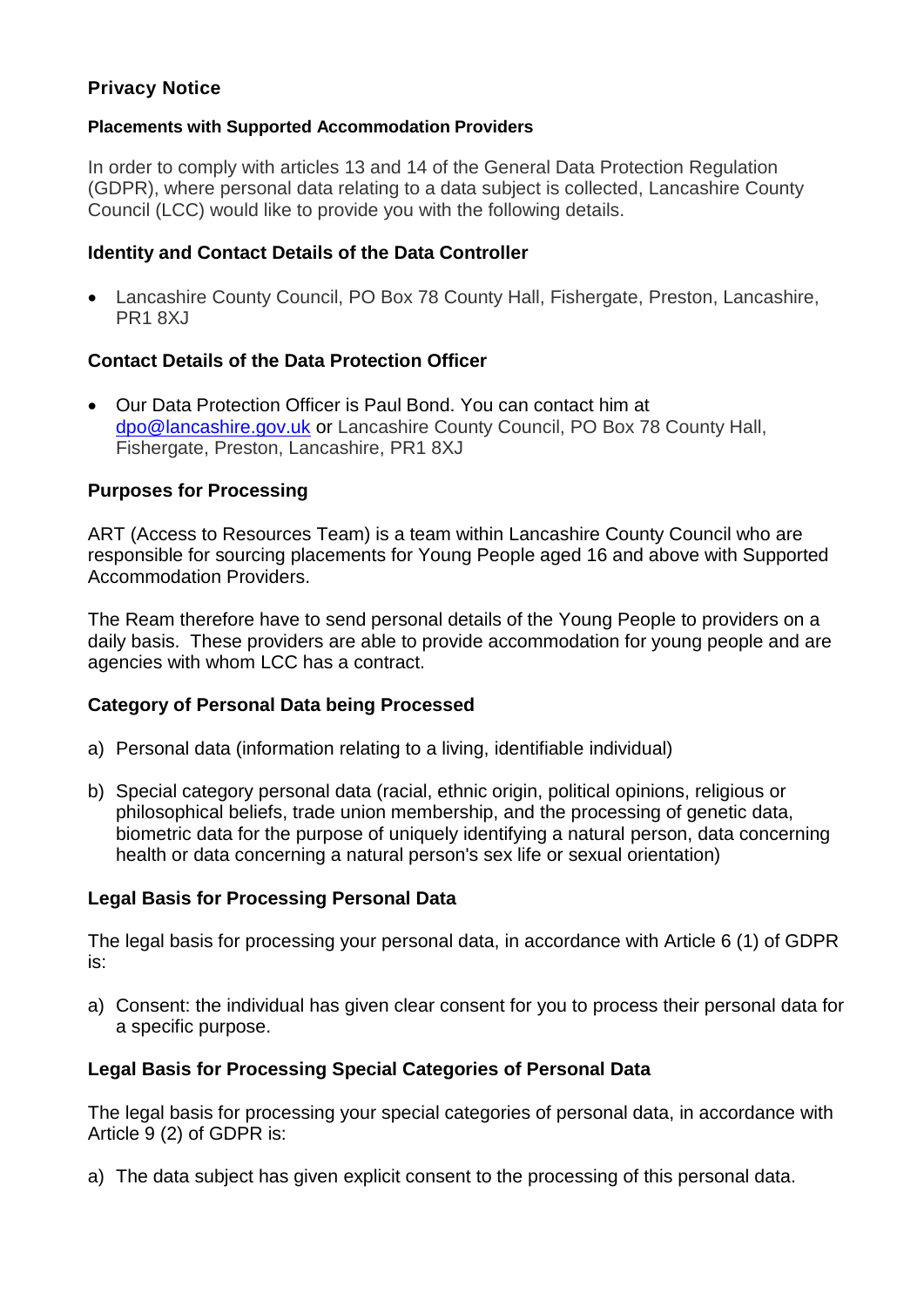# **Privacy Notice**

### **Placements with Supported Accommodation Providers**

In order to comply with articles 13 and 14 of the General Data Protection Regulation (GDPR), where personal data relating to a data subject is collected, Lancashire County Council (LCC) would like to provide you with the following details.

### **Identity and Contact Details of the Data Controller**

 Lancashire County Council, PO Box 78 County Hall, Fishergate, Preston, Lancashire, PR1 8XJ

## **Contact Details of the Data Protection Officer**

 Our Data Protection Officer is Paul Bond. You can contact him at [dpo@lancashire.gov.uk](mailto:dpo@lancashire.gov.uk) or Lancashire County Council, PO Box 78 County Hall, Fishergate, Preston, Lancashire, PR1 8XJ

## **Purposes for Processing**

ART (Access to Resources Team) is a team within Lancashire County Council who are responsible for sourcing placements for Young People aged 16 and above with Supported Accommodation Providers.

The Ream therefore have to send personal details of the Young People to providers on a daily basis. These providers are able to provide accommodation for young people and are agencies with whom LCC has a contract.

### **Category of Personal Data being Processed**

- a) Personal data (information relating to a living, identifiable individual)
- b) Special category personal data (racial, ethnic origin, political opinions, religious or philosophical beliefs, trade union membership, and the processing of genetic data, biometric data for the purpose of uniquely identifying a natural person, data concerning health or data concerning a natural person's sex life or sexual orientation)

### **Legal Basis for Processing Personal Data**

The legal basis for processing your personal data, in accordance with Article 6 (1) of GDPR is:

a) Consent: the individual has given clear consent for you to process their personal data for a specific purpose.

# **Legal Basis for Processing Special Categories of Personal Data**

The legal basis for processing your special categories of personal data, in accordance with Article 9 (2) of GDPR is:

a) The data subject has given explicit consent to the processing of this personal data.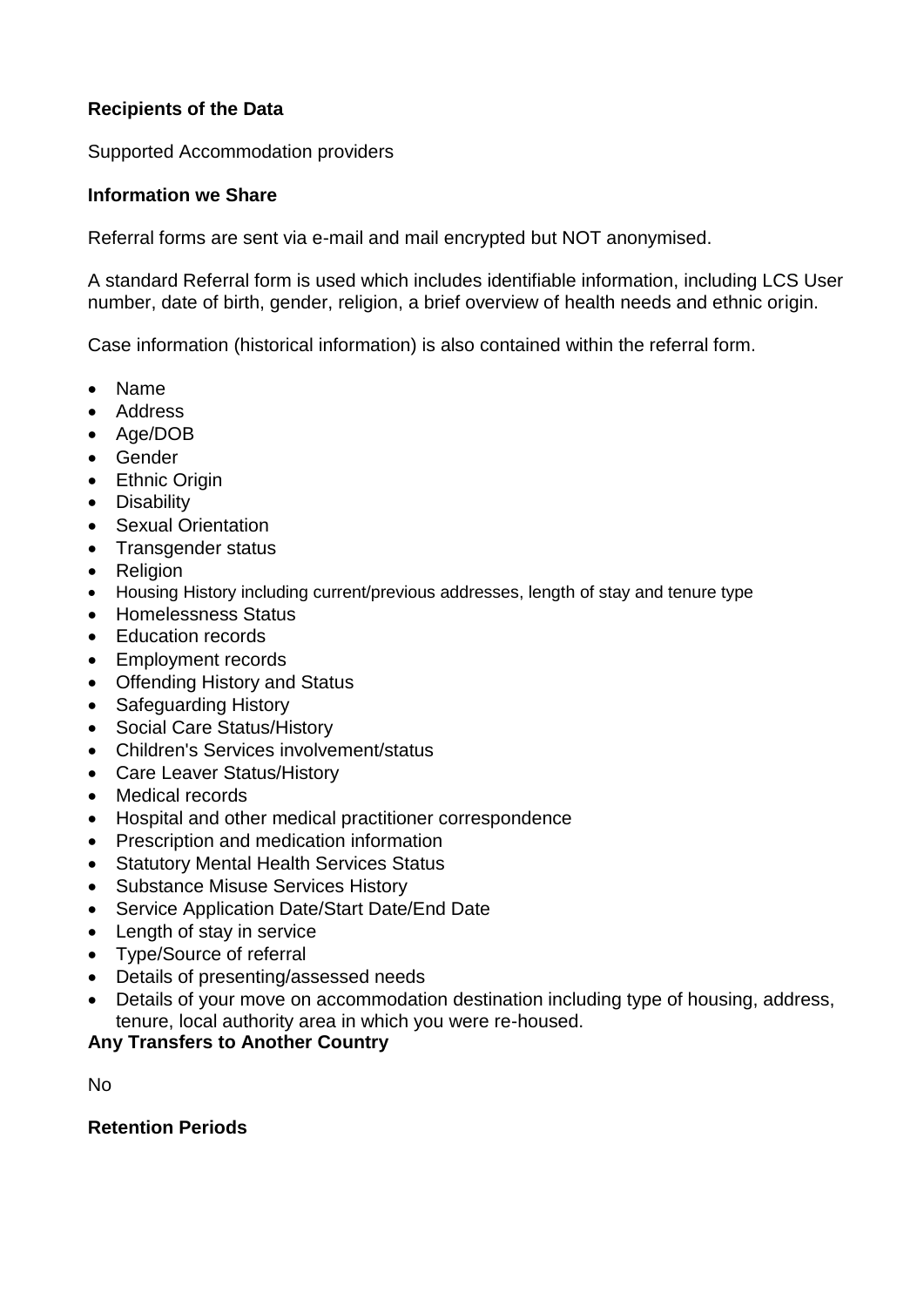# **Recipients of the Data**

Supported Accommodation providers

### **Information we Share**

Referral forms are sent via e-mail and mail encrypted but NOT anonymised.

A standard Referral form is used which includes identifiable information, including LCS User number, date of birth, gender, religion, a brief overview of health needs and ethnic origin.

Case information (historical information) is also contained within the referral form.

- Name
- Address
- Age/DOB
- Gender
- Ethnic Origin
- Disability
- Sexual Orientation
- Transgender status
- Religion
- Housing History including current/previous addresses, length of stay and tenure type
- Homelessness Status
- Education records
- Employment records
- Offending History and Status
- Safeguarding History
- Social Care Status/History
- Children's Services involvement/status
- Care Leaver Status/History
- Medical records
- Hospital and other medical practitioner correspondence
- Prescription and medication information
- Statutory Mental Health Services Status
- Substance Misuse Services History
- Service Application Date/Start Date/End Date
- Length of stay in service
- Type/Source of referral
- Details of presenting/assessed needs
- Details of your move on accommodation destination including type of housing, address, tenure, local authority area in which you were re-housed.

### **Any Transfers to Another Country**

No

### **Retention Periods**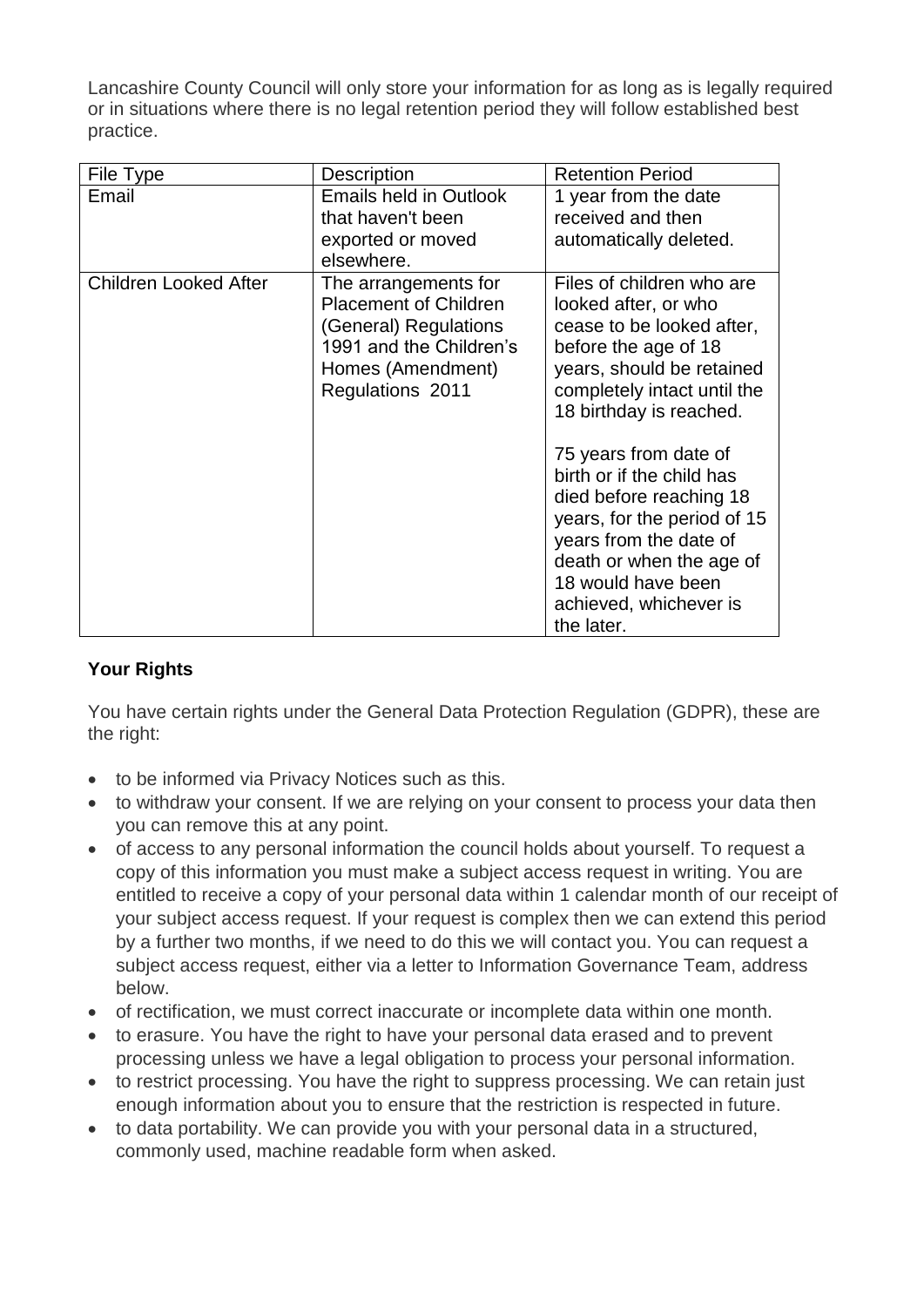Lancashire County Council will only store your information for as long as is legally required or in situations where there is no legal retention period they will follow established best practice.

| File Type                    | <b>Description</b>                                                                                                                                | <b>Retention Period</b>                                                                                                                                                                                                                                                                                                                                                                                                           |
|------------------------------|---------------------------------------------------------------------------------------------------------------------------------------------------|-----------------------------------------------------------------------------------------------------------------------------------------------------------------------------------------------------------------------------------------------------------------------------------------------------------------------------------------------------------------------------------------------------------------------------------|
| Email                        | <b>Emails held in Outlook</b><br>that haven't been<br>exported or moved<br>elsewhere.                                                             | 1 year from the date<br>received and then<br>automatically deleted.                                                                                                                                                                                                                                                                                                                                                               |
| <b>Children Looked After</b> | The arrangements for<br><b>Placement of Children</b><br>(General) Regulations<br>1991 and the Children's<br>Homes (Amendment)<br>Regulations 2011 | Files of children who are<br>looked after, or who<br>cease to be looked after,<br>before the age of 18<br>years, should be retained<br>completely intact until the<br>18 birthday is reached.<br>75 years from date of<br>birth or if the child has<br>died before reaching 18<br>years, for the period of 15<br>years from the date of<br>death or when the age of<br>18 would have been<br>achieved, whichever is<br>the later. |

# **Your Rights**

You have certain rights under the General Data Protection Regulation (GDPR), these are the right:

- to be informed via Privacy Notices such as this.
- to withdraw your consent. If we are relying on your consent to process your data then you can remove this at any point.
- of access to any personal information the council holds about yourself. To request a copy of this information you must make a subject access request in writing. You are entitled to receive a copy of your personal data within 1 calendar month of our receipt of your subject access request. If your request is complex then we can extend this period by a further two months, if we need to do this we will contact you. You can request a subject access request, either via a letter to Information Governance Team, address below.
- of rectification, we must correct inaccurate or incomplete data within one month.
- to erasure. You have the right to have your personal data erased and to prevent processing unless we have a legal obligation to process your personal information.
- to restrict processing. You have the right to suppress processing. We can retain just enough information about you to ensure that the restriction is respected in future.
- to data portability. We can provide you with your personal data in a structured, commonly used, machine readable form when asked.